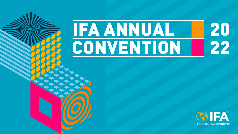## 20<br>22 **IFA ANNUAL** CONVENTION

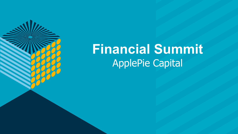

## **Financial Summit** ApplePie Capital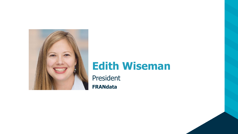

## **Edith Wiseman**

President **FRANdata**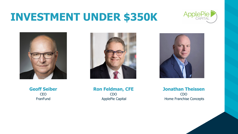## **INVESTMENT UNDER \$350K**









**Geoff Seiber CEO FranFund** 

**Ron Feldman, CFE** CDO ApplePie Capital

**Jonathan Theissen** CDO Home Franchise Concepts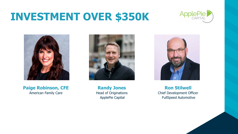## **INVESTMENT OVER \$350K**





**Paige Robinson, CFE** American Family Care



**Randy Jones** Head of Originations ApplePie Capital



**Ron Stilwell** Chief Development Officer FullSpeed Automotive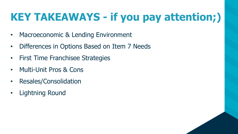## **KEY TAKEAWAYS - if you pay attention;)**

- Macroeconomic & Lending Environment
- Differences in Options Based on Item 7 Needs
- First Time Franchisee Strategies
- Multi-Unit Pros & Cons
- Resales/Consolidation
- Lightning Round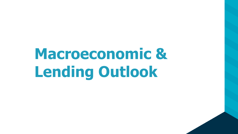# **Macroeconomic & Lending Outlook**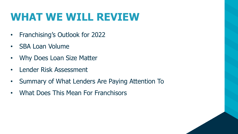## **WHAT WE WILL REVIEW**

- Franchising's Outlook for 2022
- SBA Loan Volume
- Why Does Loan Size Matter
- Lender Risk Assessment
- Summary of What Lenders Are Paying Attention To
- What Does This Mean For Franchisors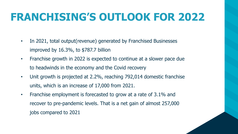## **FRANCHISING'S OUTLOOK FOR 2022**

- In 2021, total output (revenue) generated by Franchised Businesses improved by 16.3%, to \$787.7 billion
- Franchise growth in 2022 is expected to continue at a slower pace due to headwinds in the economy and the Covid recovery
- Unit growth is projected at 2.2%, reaching 792,014 domestic franchise units, which is an increase of 17,000 from 2021.
- Franchise employment is forecasted to grow at a rate of 3.1% and recover to pre-pandemic levels. That is a net gain of almost 257,000 jobs compared to 2021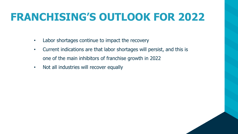## **FRANCHISING'S OUTLOOK FOR 2022**

- Labor shortages continue to impact the recovery
- Current indications are that labor shortages will persist, and this is one of the main inhibitors of franchise growth in 2022
- Not all industries will recover equally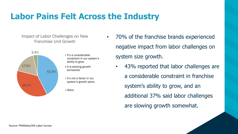### **Labor Pains Felt Across the Industry**

Impact of Labor Challenges on New Franchise Unit Growth



- $\blacksquare$ It's a considerable constraint in our system's ability to grow
- $\blacksquare$  It is slowing growth somewhat
- $\blacksquare$  It's not a factor in our system's growth plans
- 70% of the franchise brands experienced negative impact from labor challenges on system size growth.
	- 43% reported that labor challenges are a considerable constraint in franchise system's ability to grow, and an additional 37% said labor challenges are slowing growth somewhat.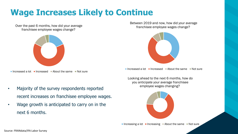## **Wage Increases Likely to Continue**

Over the past 6 months, how did your average franchisee employee wages change?



Increased a lot Increased About the same Not sure

- Majority of the survey respondents reported recent increases on franchisee employee wages.
- Wage growth is anticipated to carry on in the next 6 months.

Between 2019 and now, how did your average franchisee employee wages change?



Increased a lot Increased About the same Not sure

Looking ahead to the next 6 months, how do you anticipate your average franchisee employee wages changing?

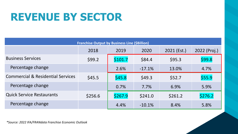## **REVENUE BY SECTOR**

| <b>Franchise Output by Business Line (\$Billion)</b> |         |         |          |             |              |  |
|------------------------------------------------------|---------|---------|----------|-------------|--------------|--|
|                                                      | 2018    | 2019    | 2020     | 2021 (Est.) | 2022 (Proj.) |  |
| <b>Business Services</b>                             | \$99.2  | \$101.7 | \$84.4   | \$95.3      | \$99.8       |  |
| Percentage change                                    |         | 2.6%    | $-17.1%$ | 13.0%       | 4.7%         |  |
| <b>Commercial &amp; Residential Services</b>         | \$45.5  | \$45.8  | \$49.3   | \$52.7      | \$55.9       |  |
| Percentage change                                    |         | 0.7%    | 7.7%     | 6.9%        | 5.9%         |  |
| <b>Quick Service Restaurants</b>                     | \$256.6 | \$267.9 | \$241.0  | \$261.2     | \$276.2      |  |
| Percentage change                                    |         | 4.4%    | $-10.1%$ | 8.4%        | 5.8%         |  |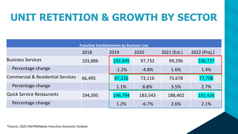## **UNIT RETENTION & GROWTH BY SECTOR**

| <b>Franchise Establishments by Business Line</b> |         |         |         |               |              |  |
|--------------------------------------------------|---------|---------|---------|---------------|--------------|--|
|                                                  | 2018    | 2019    | 2020    | $2021$ (Est.) | 2022 (Proj.) |  |
| <b>Business Services</b>                         | 103,886 | 102,645 | 97,732  | 99,296        | 100,727      |  |
| Percentage change                                |         | $-1.2%$ | $-4.8%$ | 1.6%          | 1.4%         |  |
| <b>Commercial &amp; Residential Services</b>     | 66,495  | 67,226  | 73,116  | 75,678        | 77,708       |  |
| Percentage change                                |         | 1.1%    | 8.8%    | 3.5%          | 2.7%         |  |
| <b>Quick Service Restaurants</b>                 | 194,395 | 196,794 | 183,543 | 188,402       | 192,426      |  |
| Percentage change                                |         | 1.2%    | $-6.7%$ | 2.6%          | 2.1%         |  |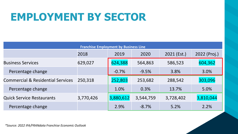## **EMPLOYMENT BY SECTOR**

| <b>Franchise Employment by Business Line</b> |           |           |           |               |              |  |
|----------------------------------------------|-----------|-----------|-----------|---------------|--------------|--|
|                                              | 2018      | 2019      | 2020      | $2021$ (Est.) | 2022 (Proj.) |  |
| <b>Business Services</b>                     | 629,027   | 624,388   | 564,863   | 586,523       | 604,362      |  |
| Percentage change                            |           | $-0.7%$   | $-9.5%$   | 3.8%          | 3.0%         |  |
| <b>Commercial &amp; Residential Services</b> | 250,318   | 252,803   | 253,682   | 288,542       | 303,096      |  |
| Percentage change                            |           | 1.0%      | 0.3%      | 13.7%         | 5.0%         |  |
| <b>Quick Service Restaurants</b>             | 3,770,426 | 3,880,612 | 3,544,759 | 3,728,402     | 3,810,044    |  |
| Percentage change                            |           | 2.9%      | $-8.7%$   | 5.2%          | 2.2%         |  |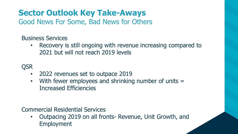## **Sector Outlook Key Take-Aways**

Good News For Some, Bad News for Others

Business Services

• Recovery is still ongoing with revenue increasing compared to 2021 but will not reach 2019 levels

**QSR** 

- 2022 revenues set to outpace 2019
- With fewer employees and shrinking number of units = Increased Efficiencies

Commercial Residential Services

• Outpacing 2019 on all fronts- Revenue, Unit Growth, and Employment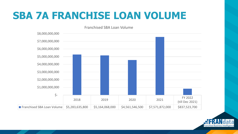## **SBA 7A FRANCHISE LOAN VOLUME**



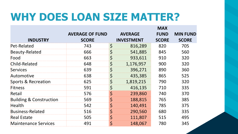## **WHY DOES LOAN SIZE MATTER?**

|                                    |                        |             |                   | <b>MAX</b>   |                 |
|------------------------------------|------------------------|-------------|-------------------|--------------|-----------------|
|                                    | <b>AVERAGE OF FUND</b> |             | <b>AVERAGE</b>    | <b>FUND</b>  | <b>MIN FUND</b> |
| <b>INDUSTRY</b>                    | <b>SCORE</b>           |             | <b>INVESTMENT</b> | <b>SCORE</b> | <b>SCORE</b>    |
| Pet-Related                        | 743                    | $\varsigma$ | 816,289           | 820          | 705             |
| <b>Beauty-Related</b>              | 666                    | \$          | 541,885           | 845          | 560             |
| Food                               | 663                    | \$          | 933,611           | 910          | 320             |
| Child-Related                      | 648                    | $\varsigma$ | 1,176,957         | 900          | 320             |
| <b>Services</b>                    | 639                    | \$          | 396,271           | 890          | 360             |
| Automotive                         | 638                    | \$          | 435,385           | 865          | 525             |
| <b>Sports &amp; Recreation</b>     | 625                    | \$          | 1,819,215         | 790          | 320             |
| <b>Fitness</b>                     | 591                    | \$          | 416,135           | 710          | 335             |
| Retail                             | 576                    | $\varsigma$ | 239,860           | 740          | 370             |
| <b>Building &amp; Construction</b> | 569                    | $\varsigma$ | 188,815           | 765          | 385             |
| <b>Health</b>                      | 542                    | $\varsigma$ | 140,491           | 785          | 375             |
| <b>Business-Related</b>            | 516                    | \$          | 290,560           | 680          | 335             |
| <b>Real Estate</b>                 | 505                    | \$          | 111,807           | 515          | 495             |
| <b>Maintenance Services</b>        | 491                    | \$          | 148,067           | 780          | 345             |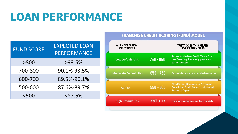## **LOAN PERFORMANCE**

| <b>FUND SCORE</b> | <b>EXPECTED LOAN</b><br><b>PERFORMANCE</b> |
|-------------------|--------------------------------------------|
| > 800             | >93.5%                                     |
| 700-800           | 90.1%-93.5%                                |
| 600-700           | 89.5%-90.1%                                |
| 500-600           | 87.6%-89.7%                                |
| $<$ 500           | < 87.6%                                    |

#### **FRANCHISE CREDIT SCORING (FUND) MODEL**

| <b>A LENDER'S RISK</b><br><b>ASSESSMENT</b> |             | <b>WHAT DOES THIS MEANS</b><br><b>FOR FRANCHISEES</b>                                                              |
|---------------------------------------------|-------------|--------------------------------------------------------------------------------------------------------------------|
| <b>Low Default Risk</b>                     | 750 - 950   | <b>Access to the Best Credit Terms fixed</b><br>rate financing, low equity payments,<br>easier process             |
| <b>Moderate Default Risk</b>                | $650 - 750$ | Favorable terms, but not the best terms                                                                            |
| <b>At Risk</b>                              | $550 - 650$ | <b>Need Strong Borrower to Overcome</b><br><b>Franchisor Credit Concerns - Reduced</b><br><b>Access to Capital</b> |
| <b>High Default Risk</b>                    | 550 BELOW   | <b>High borrowing costs or loan denials</b>                                                                        |
|                                             |             |                                                                                                                    |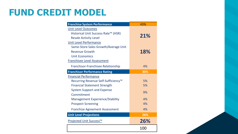## **FUND CREDIT MODEL**

| <b>Franchise System Performance</b>    | 43% |  |  |
|----------------------------------------|-----|--|--|
| <b>Unit Level Outcomes</b>             |     |  |  |
| Historical Unit Success Rate™ (HSR)    | 21% |  |  |
| <b>Resale Activity Level</b>           |     |  |  |
| <b>Unit Level Performance</b>          |     |  |  |
| Same-Store Sales Growth/Average Unit   |     |  |  |
| <b>Revenue Growth</b>                  | 18% |  |  |
| <b>Unit Economics</b>                  |     |  |  |
| <b>Franchisee Level Assessment</b>     |     |  |  |
| Franchisor-Franchisee Relationship     | 4%  |  |  |
| <b>Franchisor Performance Rating</b>   | 30% |  |  |
| <b>Financial Performance</b>           |     |  |  |
| Recurring Revenue Self-Sufficiency™    | 5%  |  |  |
| <b>Financial Statement Strength</b>    | 5%  |  |  |
| <b>System Support and Expense</b>      | 9%  |  |  |
| Commitment                             |     |  |  |
| <b>Management Experience/Stability</b> | 4%  |  |  |
| <b>Prospect Screening</b>              | 4%  |  |  |
| <b>Franchise Agreement Assessment</b>  | 4%  |  |  |
| <b>Unit Level Projections</b>          | 26% |  |  |
| Projected Unit Success™                | 26% |  |  |
|                                        | 100 |  |  |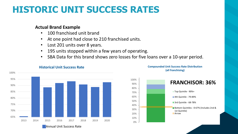## **HISTORIC UNIT SUCCESS RATES**

#### **Actual Brand Example**

- 100 franchised unit brand
- At one point had close to 210 franchised units.
- Lost 201 units over 8 years.
- 195 units stopped within a few years of operating.
- SBA Data for this brand shows zero losses for five loans over a 10-year period.



#### **Historical Unit Success Rate**

**Compounded Unit Success Rate Distribution (all franchising)**

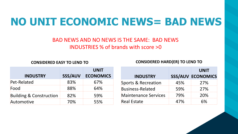## **NO UNIT ECONOMIC NEWS= BAD NEWS**

#### BAD NEWS AND NO NEWS IS THE SAME: BAD NEWS INDUSTRIES % of brands with score >0

**CONSIDERED EASY TO LEND TO CONSIDERED HARD(ER) TO LEND TO**

|                                    |                | <b>UNIT</b>      |
|------------------------------------|----------------|------------------|
| <b>INDUSTRY</b>                    | <b>SSS/AUV</b> | <b>ECONOMICS</b> |
| Pet-Related                        | 83%            | 67%              |
| Food                               | 88%            | 64%              |
| <b>Building &amp; Construction</b> | 82%            | 59%              |
| Automotive                         | 70%            | 55%              |

|                                |     | <b>UNIT</b>              |
|--------------------------------|-----|--------------------------|
| <b>INDUSTRY</b>                |     | <b>SSS/AUV ECONOMICS</b> |
| <b>Sports &amp; Recreation</b> | 45% | 27%                      |
| <b>Business-Related</b>        | 59% | 27%                      |
| <b>Maintenance Services</b>    | 79% | 20%                      |
| <b>Real Estate</b>             | 47% | 6%                       |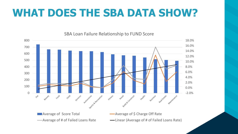## **WHAT DOES THE SBA DATA SHOW?**

#### SBA Loan Failure Relationship to FUND Score

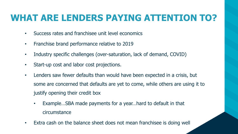## **WHAT ARE LENDERS PAYING ATTENTION TO?**

- Success rates and franchisee unit level economics
- Franchise brand performance relative to 2019
- Industry specific challenges (over-saturation, lack of demand, COVID)
- Start-up cost and labor cost projections.
- Lenders saw fewer defaults than would have been expected in a crisis, but some are concerned that defaults are yet to come, while others are using it to justify opening their credit box
	- Example...SBA made payments for a year...hard to default in that circumstance
- Extra cash on the balance sheet does not mean franchisee is doing well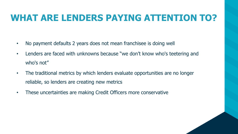## **WHAT ARE LENDERS PAYING ATTENTION TO?**

- No payment defaults 2 years does not mean franchisee is doing well
- Lenders are faced with unknowns because "we don't know who's teetering and who's not"
- The traditional metrics by which lenders evaluate opportunities are no longer reliable, so lenders are creating new metrics
- These uncertainties are making Credit Officers more conservative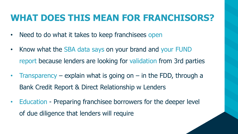## **WHAT DOES THIS MEAN FOR FRANCHISORS?**

- Need to do what it takes to keep franchisees open
- Know what the SBA data says on your brand and your FUND report because lenders are looking for validation from 3rd parties
- Transparency explain what is going on  $-$  in the FDD, through a Bank Credit Report & Direct Relationship w Lenders
- Education Preparing franchisee borrowers for the deeper level of due diligence that lenders will require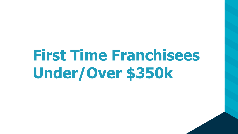# **First Time Franchisees Under/Over \$350k**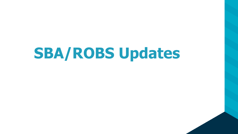# **SBA/ROBS Updates**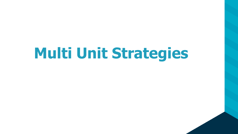# **Multi Unit Strategies**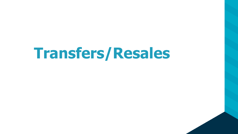## **Transfers/Resales**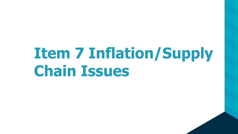# **Item 7 Inflation/Supply Chain Issues**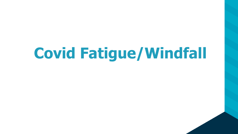# **Covid Fatigue/Windfall**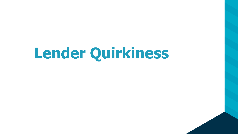# **Lender Quirkiness**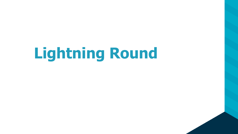# **Lightning Round**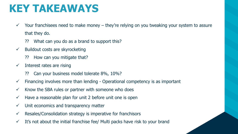## **KEY TAKEAWAYS**

- $\checkmark$  Your franchisees need to make money they're relying on you tweaking your system to assure that they do.
	- ⁇ What can you do as a brand to support this?
- $\checkmark$  Buildout costs are skyrocketing
	- ⁇ How can you mitigate that?
- $\checkmark$  Interest rates are rising
	- ⁇ Can your business model tolerate 8%, 10%?
- $\checkmark$  Financing involves more than lending Operational competency is as important
- $\checkmark$  Know the SBA rules or partner with someone who does
- $\checkmark$  Have a reasonable plan for unit 2 before unit one is open
- $\checkmark$  Unit economics and transparency matter
- $\checkmark$  Resales/Consolidation strategy is imperative for franchisors
- $\checkmark$  It's not about the initial franchise fee/ Multi packs have risk to your brand